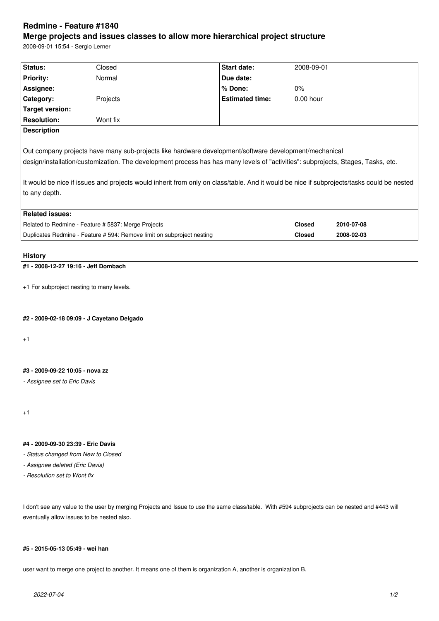# **Redmine - Feature #1840**

## **Merge projects and issues classes to allow more hierarchical project structure**

2008-09-01 15:54 - Sergio Lerner

| Status:                                                                                                                                   | Closed   | Start date:            | 2008-09-01    |            |
|-------------------------------------------------------------------------------------------------------------------------------------------|----------|------------------------|---------------|------------|
| <b>Priority:</b>                                                                                                                          | Normal   | Due date:              |               |            |
| Assignee:                                                                                                                                 |          | % Done:                | 0%            |            |
| Category:                                                                                                                                 | Projects | <b>Estimated time:</b> | $0.00$ hour   |            |
| Target version:                                                                                                                           |          |                        |               |            |
| <b>Resolution:</b>                                                                                                                        | Wont fix |                        |               |            |
| <b>Description</b>                                                                                                                        |          |                        |               |            |
|                                                                                                                                           |          |                        |               |            |
| Out company projects have many sub-projects like hardware development/software development/mechanical                                     |          |                        |               |            |
| design/installation/customization. The development process has has many levels of "activities": subprojects, Stages, Tasks, etc.          |          |                        |               |            |
|                                                                                                                                           |          |                        |               |            |
| It would be nice if issues and projects would inherit from only on class/table. And it would be nice if subprojects/tasks could be nested |          |                        |               |            |
| to any depth.                                                                                                                             |          |                        |               |            |
|                                                                                                                                           |          |                        |               |            |
| <b>Related issues:</b>                                                                                                                    |          |                        |               |            |
| Related to Redmine - Feature # 5837: Merge Projects                                                                                       |          |                        | <b>Closed</b> | 2010-07-08 |
| Duplicates Redmine - Feature # 594: Remove limit on subproject nesting                                                                    |          |                        | <b>Closed</b> | 2008-02-03 |
|                                                                                                                                           |          |                        |               |            |
| <b>History</b>                                                                                                                            |          |                        |               |            |
| #1 - 2008-12-27 19:16 - Jeff Dombach                                                                                                      |          |                        |               |            |

+1 For subproject nesting to many levels.

**#2 - 2009-02-18 09:09 - J Cayetano Delgado**

+1

#### **#3 - 2009-09-22 10:05 - nova zz**

*- Assignee set to Eric Davis*

+1

#### **#4 - 2009-09-30 23:39 - Eric Davis**

*- Status changed from New to Closed*

- *Assignee deleted (Eric Davis)*
- *Resolution set to Wont fix*

I don't see any value to the user by merging Projects and Issue to use the same class/table. With #594 subprojects can be nested and #443 will eventually allow issues to be nested also.

#### **#5 - 2015-05-13 05:49 - wei han**

user want to merge one project to another. It means one of them is organization A, another is organization B.